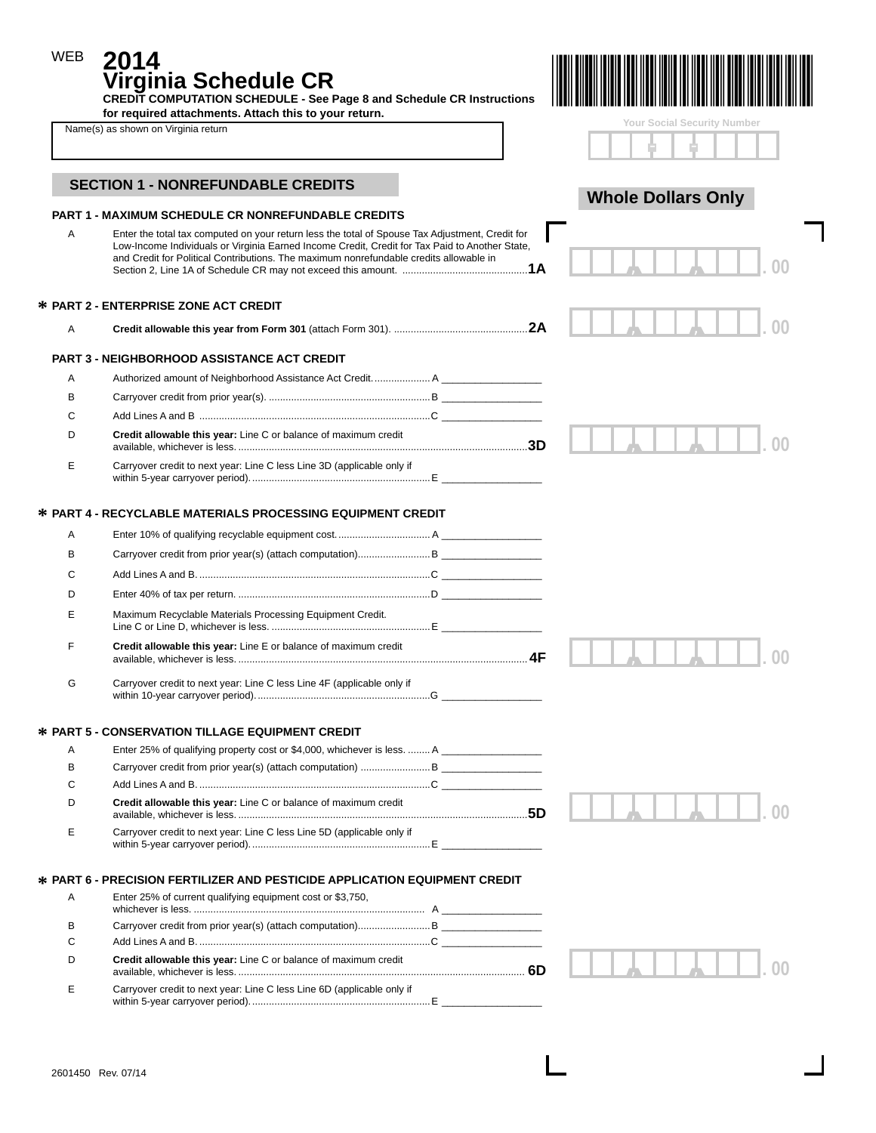| <b>WEB</b> | 2014<br>Virginia Schedule CR<br><b>CREDIT COMPUTATION SCHEDULE - See Page 8 and Schedule CR Instructions</b><br>for required attachments. Attach this to your return.                                                                                                                                                                                    |    |                             |
|------------|----------------------------------------------------------------------------------------------------------------------------------------------------------------------------------------------------------------------------------------------------------------------------------------------------------------------------------------------------------|----|-----------------------------|
|            | Name(s) as shown on Virginia return                                                                                                                                                                                                                                                                                                                      |    | Your Social Security Number |
|            | <b>SECTION 1 - NONREFUNDABLE CREDITS</b>                                                                                                                                                                                                                                                                                                                 |    | <b>Whole Dollars Only</b>   |
| A          | <b>PART 1 - MAXIMUM SCHEDULE CR NONREFUNDABLE CREDITS</b><br>Enter the total tax computed on your return less the total of Spouse Tax Adjustment, Credit for<br>Low-Income Individuals or Virginia Earned Income Credit, Credit for Tax Paid to Another State,<br>and Credit for Political Contributions. The maximum nonrefundable credits allowable in |    |                             |
|            | <b>* PART 2 - ENTERPRISE ZONE ACT CREDIT</b>                                                                                                                                                                                                                                                                                                             |    |                             |
| Α          |                                                                                                                                                                                                                                                                                                                                                          |    |                             |
|            | <b>PART 3 - NEIGHBORHOOD ASSISTANCE ACT CREDIT</b>                                                                                                                                                                                                                                                                                                       |    |                             |
| Α          | Authorized amount of Neighborhood Assistance Act Credit A                                                                                                                                                                                                                                                                                                |    |                             |
| в          |                                                                                                                                                                                                                                                                                                                                                          |    |                             |
| C          |                                                                                                                                                                                                                                                                                                                                                          |    |                             |
| D          | Credit allowable this year: Line C or balance of maximum credit                                                                                                                                                                                                                                                                                          |    |                             |
| E          | Carryover credit to next year: Line C less Line 3D (applicable only if                                                                                                                                                                                                                                                                                   |    |                             |
|            | <b>* PART 4 - RECYCLABLE MATERIALS PROCESSING EQUIPMENT CREDIT</b>                                                                                                                                                                                                                                                                                       |    |                             |
| Α          |                                                                                                                                                                                                                                                                                                                                                          |    |                             |
| в          |                                                                                                                                                                                                                                                                                                                                                          |    |                             |
| С          | Add Lines A and B………………………………………………………………………………C                                                                                                                                                                                                                                                                                                         |    |                             |
| D          |                                                                                                                                                                                                                                                                                                                                                          |    |                             |
|            |                                                                                                                                                                                                                                                                                                                                                          |    |                             |
| Ε          | Maximum Recyclable Materials Processing Equipment Credit.                                                                                                                                                                                                                                                                                                |    |                             |
| F          | Credit allowable this year: Line E or balance of maximum credit                                                                                                                                                                                                                                                                                          | 4F |                             |
| G          | Carryover credit to next year: Line C less Line 4F (applicable only if                                                                                                                                                                                                                                                                                   |    |                             |
|            | * PART 5 - CONSERVATION TILLAGE EQUIPMENT CREDIT                                                                                                                                                                                                                                                                                                         |    |                             |
| Α          | Enter 25% of qualifying property cost or \$4,000, whichever is less.  A ____________________                                                                                                                                                                                                                                                             |    |                             |
| B          |                                                                                                                                                                                                                                                                                                                                                          |    |                             |
| C          |                                                                                                                                                                                                                                                                                                                                                          |    |                             |
| D          | Credit allowable this year: Line C or balance of maximum credit                                                                                                                                                                                                                                                                                          |    |                             |
| Ε          | Carryover credit to next year: Line C less Line 5D (applicable only if                                                                                                                                                                                                                                                                                   |    |                             |
|            | <b>* PART 6 - PRECISION FERTILIZER AND PESTICIDE APPLICATION EQUIPMENT CREDIT</b>                                                                                                                                                                                                                                                                        |    |                             |
| Α          | Enter 25% of current qualifying equipment cost or \$3,750,                                                                                                                                                                                                                                                                                               |    |                             |
| В          |                                                                                                                                                                                                                                                                                                                                                          |    |                             |
| С          |                                                                                                                                                                                                                                                                                                                                                          |    |                             |
| D          | Credit allowable this year: Line C or balance of maximum credit                                                                                                                                                                                                                                                                                          |    |                             |
| Е          | Carryover credit to next year: Line C less Line 6D (applicable only if                                                                                                                                                                                                                                                                                   |    |                             |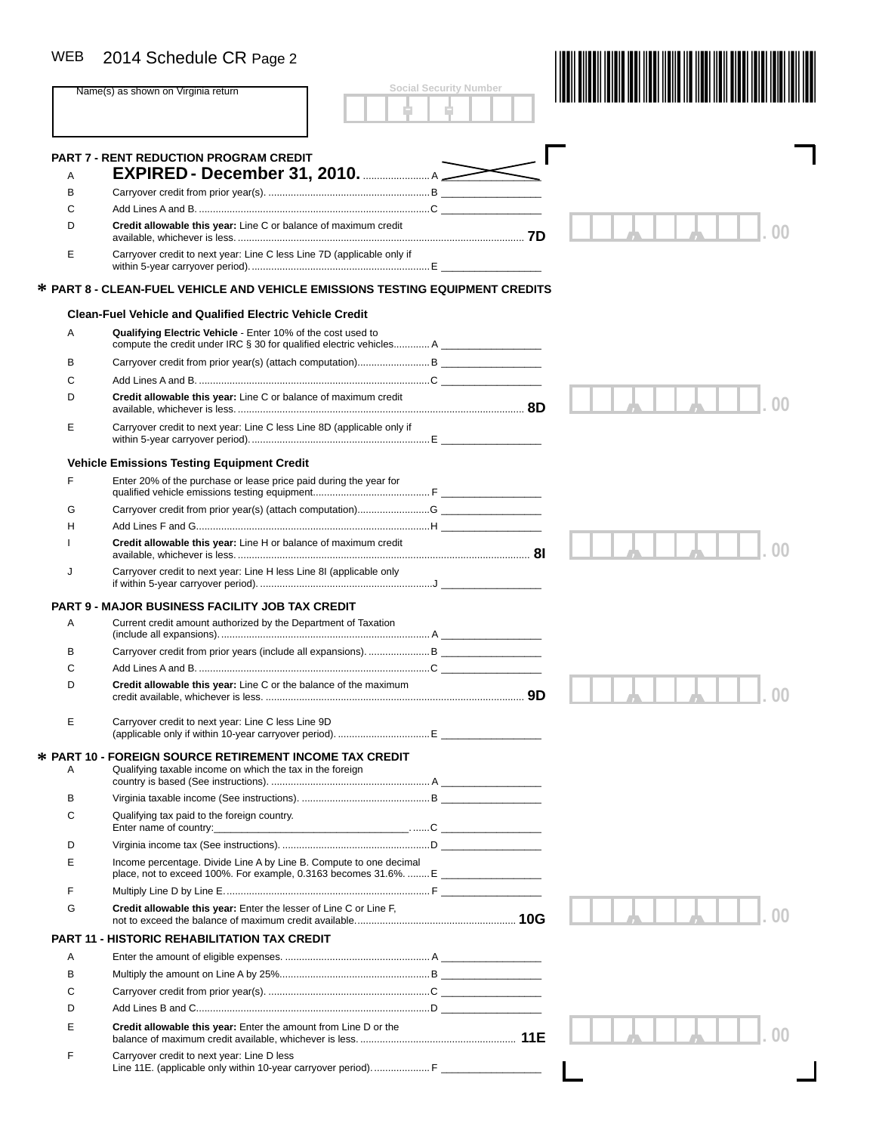| <b>WEB</b> | 2014 Schedule CR Page 2                                                                                                     | <b>Social Security Number</b> |  |
|------------|-----------------------------------------------------------------------------------------------------------------------------|-------------------------------|--|
|            | Name(s) as shown on Virginia return                                                                                         |                               |  |
| A          | <b>PART 7 - RENT REDUCTION PROGRAM CREDIT</b><br><b>EXPIRED - December 31, 2010.</b> A 2010                                 |                               |  |
| в          |                                                                                                                             |                               |  |
| С          |                                                                                                                             |                               |  |
| D          | Credit allowable this year: Line C or balance of maximum credit                                                             |                               |  |
| Е          | Carryover credit to next year: Line C less Line 7D (applicable only if                                                      |                               |  |
|            | * PART 8 - CLEAN-FUEL VEHICLE AND VEHICLE EMISSIONS TESTING EQUIPMENT CREDITS                                               |                               |  |
|            | <b>Clean-Fuel Vehicle and Qualified Electric Vehicle Credit</b>                                                             |                               |  |
| Α          | Qualifying Electric Vehicle - Enter 10% of the cost used to                                                                 |                               |  |
| В          |                                                                                                                             |                               |  |
| С          |                                                                                                                             |                               |  |
| D          | Credit allowable this year: Line C or balance of maximum credit                                                             |                               |  |
| E          | Carryover credit to next year: Line C less Line 8D (applicable only if                                                      |                               |  |
|            | <b>Vehicle Emissions Testing Equipment Credit</b>                                                                           |                               |  |
| F          | Enter 20% of the purchase or lease price paid during the year for                                                           |                               |  |
| G          |                                                                                                                             |                               |  |
| н          |                                                                                                                             |                               |  |
|            | Credit allowable this year: Line H or balance of maximum credit                                                             |                               |  |
| J          | Carryover credit to next year: Line H less Line 8I (applicable only                                                         |                               |  |
|            | <b>PART 9 - MAJOR BUSINESS FACILITY JOB TAX CREDIT</b>                                                                      |                               |  |
| A          | Current credit amount authorized by the Department of Taxation                                                              |                               |  |
| В          |                                                                                                                             |                               |  |
| С          |                                                                                                                             |                               |  |
| D          | <b>Credit allowable this year:</b> Line C or the balance of the maximum                                                     |                               |  |
| Е          | Carryover credit to next year: Line C less Line 9D                                                                          |                               |  |
| Α          | <b>☆ PART 10 - FOREIGN SOURCE RETIREMENT INCOME TAX CREDIT</b><br>Qualifying taxable income on which the tax in the foreign |                               |  |
| В          |                                                                                                                             |                               |  |
| С          | Qualifying tax paid to the foreign country.                                                                                 |                               |  |
|            |                                                                                                                             |                               |  |
| D          |                                                                                                                             |                               |  |
| Е          | Income percentage. Divide Line A by Line B. Compute to one decimal                                                          |                               |  |
| F          |                                                                                                                             |                               |  |
| G          | Credit allowable this year: Enter the lesser of Line C or Line F,                                                           |                               |  |
|            | <b>PART 11 - HISTORIC REHABILITATION TAX CREDIT</b>                                                                         |                               |  |
| A          |                                                                                                                             |                               |  |
| В          |                                                                                                                             |                               |  |
| C          |                                                                                                                             |                               |  |
| D          |                                                                                                                             |                               |  |
| E          | Credit allowable this year: Enter the amount from Line D or the                                                             |                               |  |
| F          | Carryover credit to next year: Line D less<br>Line 11E. (applicable only within 10-year carryover period) F                 |                               |  |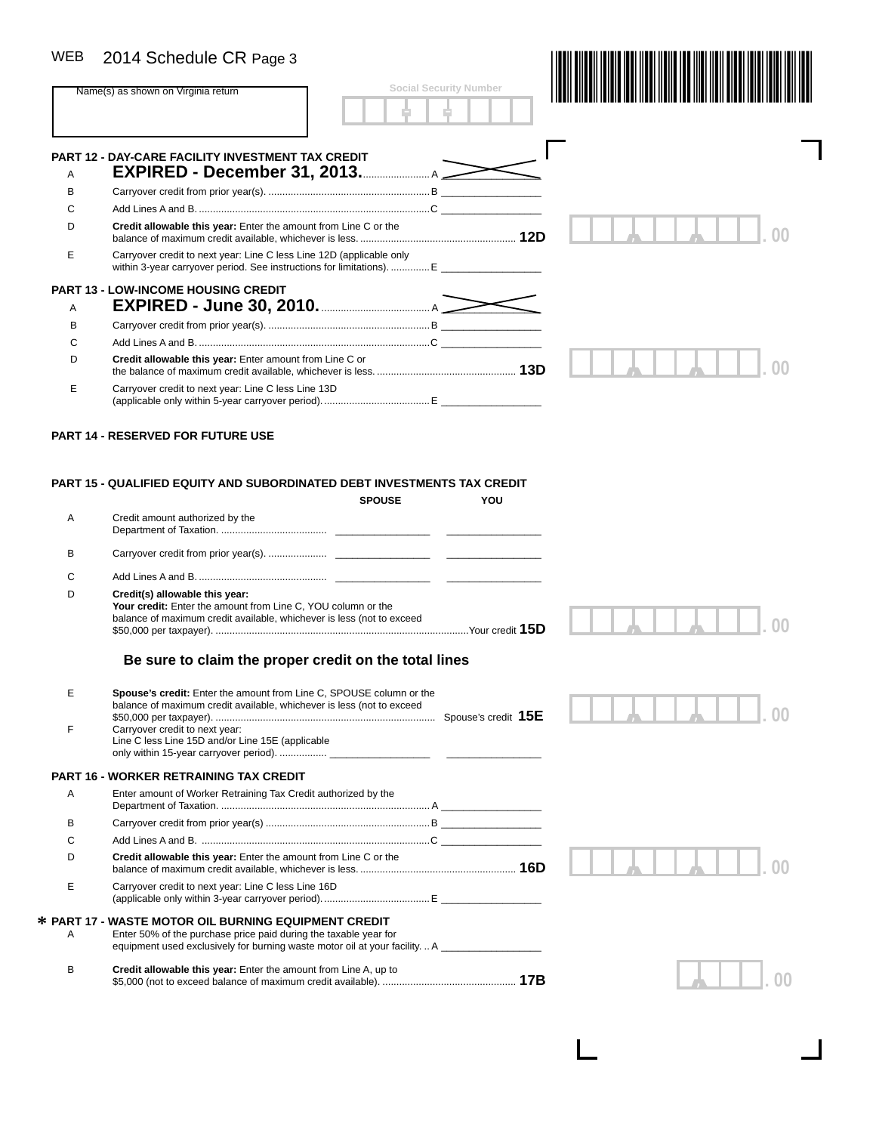| <b>WEB</b> | 2014 Schedule CR Page 3                                                                                                                                                 |                               |     |  |
|------------|-------------------------------------------------------------------------------------------------------------------------------------------------------------------------|-------------------------------|-----|--|
|            | Name(s) as shown on Virginia return                                                                                                                                     | <b>Social Security Number</b> |     |  |
|            |                                                                                                                                                                         |                               |     |  |
|            | <b>PART 12 - DAY-CARE FACILITY INVESTMENT TAX CREDIT</b>                                                                                                                |                               |     |  |
| A          | EXPIRED - December 31, 2013.                                                                                                                                            |                               |     |  |
| B          |                                                                                                                                                                         |                               |     |  |
| C          |                                                                                                                                                                         |                               |     |  |
| D          | Credit allowable this year: Enter the amount from Line C or the                                                                                                         |                               |     |  |
| Е          | Carryover credit to next year: Line C less Line 12D (applicable only                                                                                                    |                               |     |  |
|            | <b>PART 13 - LOW-INCOME HOUSING CREDIT</b>                                                                                                                              |                               |     |  |
| A          |                                                                                                                                                                         |                               |     |  |
| в          |                                                                                                                                                                         |                               |     |  |
| C          |                                                                                                                                                                         |                               |     |  |
| D          | Credit allowable this year: Enter amount from Line C or                                                                                                                 |                               |     |  |
| Е          | Carryover credit to next year: Line C less Line 13D                                                                                                                     |                               |     |  |
|            | <b>PART 14 - RESERVED FOR FUTURE USE</b>                                                                                                                                |                               |     |  |
|            | <b>PART 15 - QUALIFIED EQUITY AND SUBORDINATED DEBT INVESTMENTS TAX CREDIT</b><br><b>SPOUSE</b>                                                                         |                               | YOU |  |
| Α          | Credit amount authorized by the                                                                                                                                         |                               |     |  |
| в          |                                                                                                                                                                         |                               |     |  |
| C          |                                                                                                                                                                         |                               |     |  |
| D          | Credit(s) allowable this year:<br>Your credit: Enter the amount from Line C, YOU column or the<br>balance of maximum credit available, whichever is less (not to exceed |                               |     |  |
|            | Be sure to claim the proper credit on the total lines                                                                                                                   |                               |     |  |
| E          | Spouse's credit: Enter the amount from Line C, SPOUSE column or the<br>balance of maximum credit available, whichever is less (not to exceed                            |                               |     |  |
| F          | Carryover credit to next year:                                                                                                                                          |                               |     |  |

#### **PART 16 - WORKER RETRAINING TAX CREDIT**

Line C less Line 15D and/or Line 15E (applicable

| Α | Enter amount of Worker Retraining Tax Credit authorized by the                                                                                                                                       |     |
|---|------------------------------------------------------------------------------------------------------------------------------------------------------------------------------------------------------|-----|
| в |                                                                                                                                                                                                      |     |
| C |                                                                                                                                                                                                      |     |
| D | Credit allowable this year: Enter the amount from Line C or the                                                                                                                                      | 16D |
| Е | Carryover credit to next year: Line C less Line 16D                                                                                                                                                  |     |
| A | * PART 17 - WASTE MOTOR OIL BURNING EQUIPMENT CREDIT<br>Enter 50% of the purchase price paid during the taxable year for<br>equipment used exclusively for burning waste motor oil at your facilityA |     |

only within 15-year carryover period). ................. \_\_\_\_\_\_\_\_\_\_\_\_\_\_\_\_\_\_ \_\_\_\_\_\_\_\_\_\_\_\_\_\_\_\_\_

| Credit allowable this year: Enter the amount from Line A, up to |
|-----------------------------------------------------------------|
|                                                                 |

*, ,* **. 00**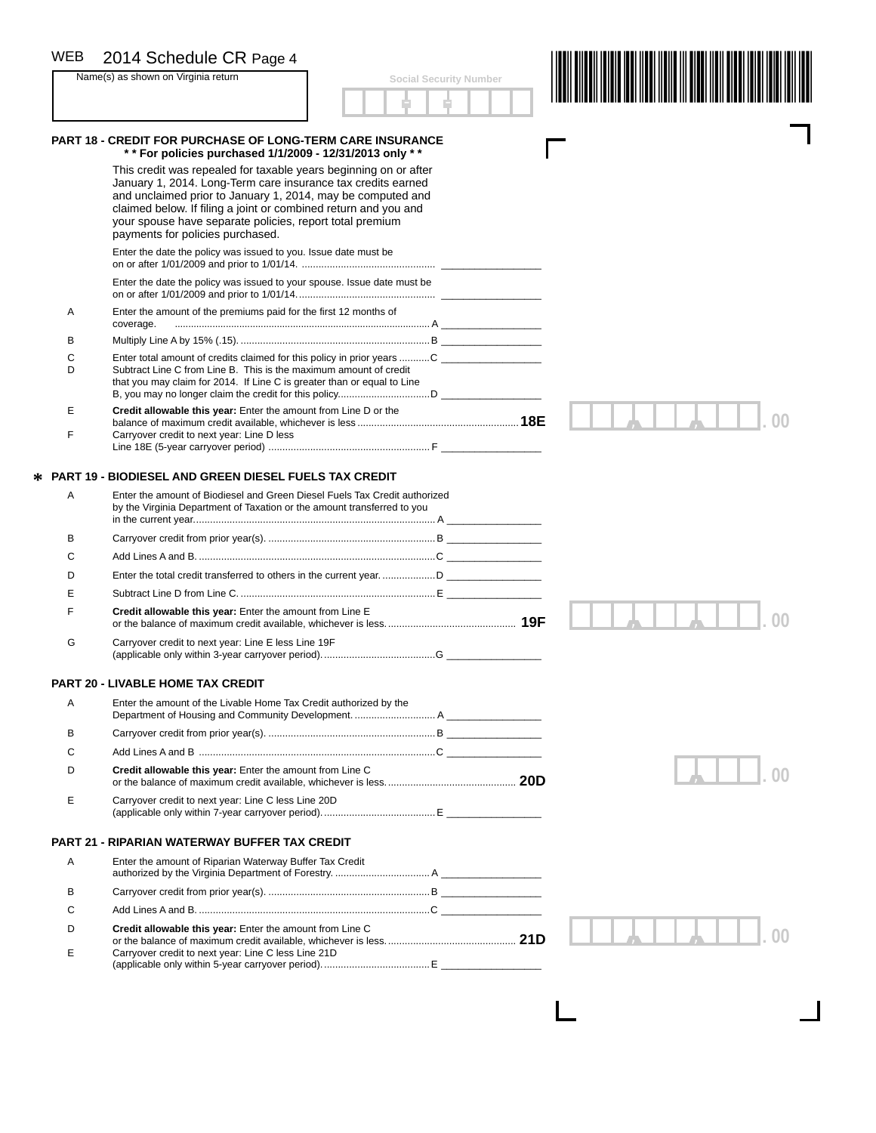#### WEB

|        | 2014 Schedule CR Page 4<br>Name(s) as shown on Virginia return                                                                                                                                                                                                                                 | <b>Social Security Number</b> |  |
|--------|------------------------------------------------------------------------------------------------------------------------------------------------------------------------------------------------------------------------------------------------------------------------------------------------|-------------------------------|--|
|        |                                                                                                                                                                                                                                                                                                |                               |  |
|        | <b>PART 18 - CREDIT FOR PURCHASE OF LONG-TERM CARE INSURANCE</b>                                                                                                                                                                                                                               |                               |  |
|        | ** For policies purchased 1/1/2009 - 12/31/2013 only **<br>This credit was repealed for taxable years beginning on or after                                                                                                                                                                    |                               |  |
|        | January 1, 2014. Long-Term care insurance tax credits earned<br>and unclaimed prior to January 1, 2014, may be computed and<br>claimed below. If filing a joint or combined return and you and<br>your spouse have separate policies, report total premium<br>payments for policies purchased. |                               |  |
|        | Enter the date the policy was issued to you. Issue date must be                                                                                                                                                                                                                                |                               |  |
|        | Enter the date the policy was issued to your spouse. Issue date must be                                                                                                                                                                                                                        |                               |  |
| Α      | Enter the amount of the premiums paid for the first 12 months of<br>coverage.                                                                                                                                                                                                                  |                               |  |
| в      |                                                                                                                                                                                                                                                                                                |                               |  |
| C<br>D | Enter total amount of credits claimed for this policy in prior years C<br>Subtract Line C from Line B. This is the maximum amount of credit<br>that you may claim for 2014. If Line C is greater than or equal to Line                                                                         |                               |  |
| E      | Credit allowable this year: Enter the amount from Line D or the                                                                                                                                                                                                                                |                               |  |
| F      | Carryover credit to next year: Line D less                                                                                                                                                                                                                                                     |                               |  |
|        | <b>PART 19 - BIODIESEL AND GREEN DIESEL FUELS TAX CREDIT</b>                                                                                                                                                                                                                                   |                               |  |
| A      | Enter the amount of Biodiesel and Green Diesel Fuels Tax Credit authorized<br>by the Virginia Department of Taxation or the amount transferred to you                                                                                                                                          |                               |  |
| в      |                                                                                                                                                                                                                                                                                                |                               |  |
| C      |                                                                                                                                                                                                                                                                                                |                               |  |
| D      |                                                                                                                                                                                                                                                                                                |                               |  |
| Е      |                                                                                                                                                                                                                                                                                                |                               |  |
| F      | Credit allowable this year: Enter the amount from Line E                                                                                                                                                                                                                                       |                               |  |
| G      | Carryover credit to next year: Line E less Line 19F                                                                                                                                                                                                                                            |                               |  |
|        | <b>PART 20 - LIVABLE HOME TAX CREDIT</b>                                                                                                                                                                                                                                                       |                               |  |
| Α      | Enter the amount of the Livable Home Tax Credit authorized by the                                                                                                                                                                                                                              |                               |  |
| в      |                                                                                                                                                                                                                                                                                                |                               |  |
| C      |                                                                                                                                                                                                                                                                                                |                               |  |
| D      | Credit allowable this year: Enter the amount from Line C                                                                                                                                                                                                                                       |                               |  |
| Е      | Carryover credit to next year: Line C less Line 20D                                                                                                                                                                                                                                            |                               |  |
|        | <b>PART 21 - RIPARIAN WATERWAY BUFFER TAX CREDIT</b>                                                                                                                                                                                                                                           |                               |  |
| Α      | Enter the amount of Riparian Waterway Buffer Tax Credit                                                                                                                                                                                                                                        |                               |  |
| в      |                                                                                                                                                                                                                                                                                                |                               |  |
| C      |                                                                                                                                                                                                                                                                                                |                               |  |
| D      | Credit allowable this year: Enter the amount from Line C                                                                                                                                                                                                                                       |                               |  |
| Е      | Carryover credit to next year: Line C less Line 21D                                                                                                                                                                                                                                            |                               |  |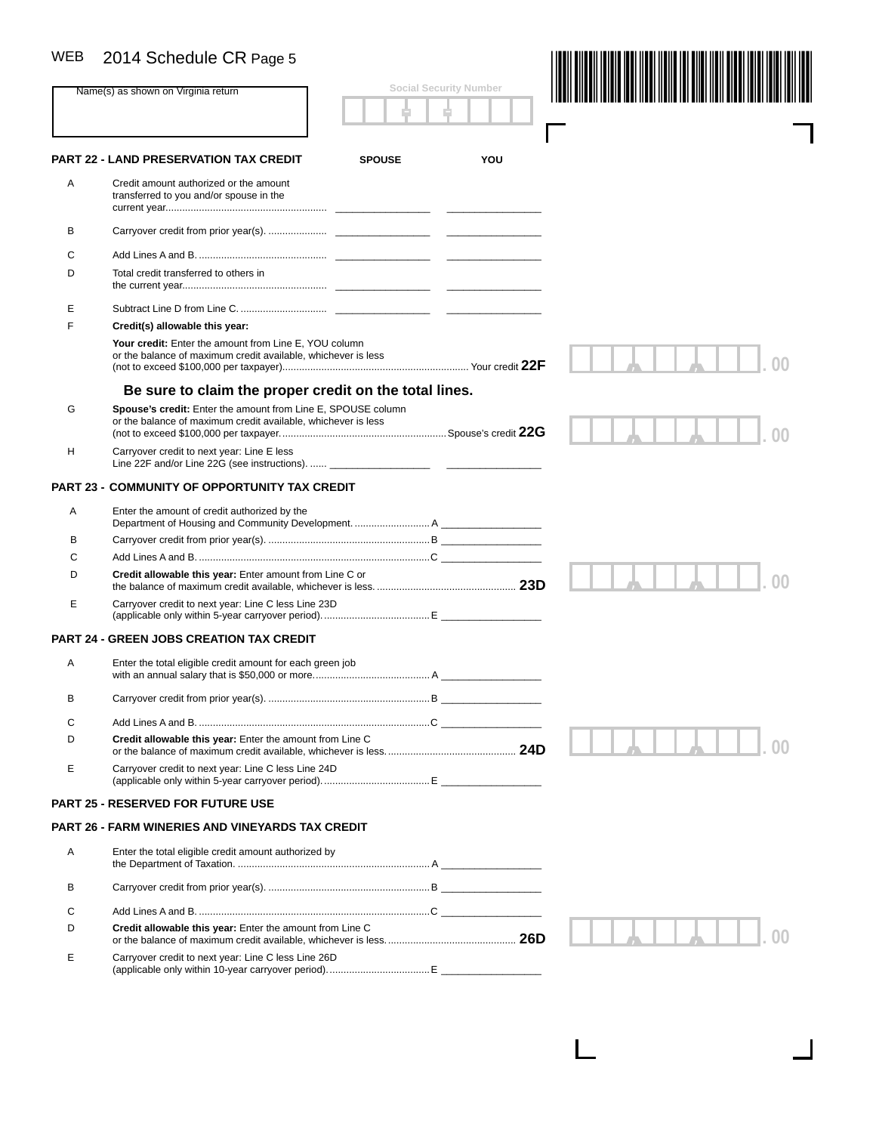|   | Name(s) as shown on Virginia return<br>PART 22 - LAND PRESERVATION TAX CREDIT<br>Credit amount authorized or the amount<br>transferred to you and/or spouse in the | <b>SPOUSE</b> | <b>Social Security Number</b> |  |
|---|--------------------------------------------------------------------------------------------------------------------------------------------------------------------|---------------|-------------------------------|--|
|   |                                                                                                                                                                    |               |                               |  |
|   |                                                                                                                                                                    |               |                               |  |
|   |                                                                                                                                                                    |               | YOU                           |  |
| Α |                                                                                                                                                                    |               |                               |  |
| в |                                                                                                                                                                    |               |                               |  |
| С |                                                                                                                                                                    |               |                               |  |
| D | Total credit transferred to others in                                                                                                                              |               |                               |  |
| Е |                                                                                                                                                                    |               |                               |  |
| F | Credit(s) allowable this year:                                                                                                                                     |               |                               |  |
|   | Your credit: Enter the amount from Line E, YOU column<br>or the balance of maximum credit available, whichever is less                                             |               |                               |  |
|   | Be sure to claim the proper credit on the total lines.                                                                                                             |               |                               |  |
| G | Spouse's credit: Enter the amount from Line E, SPOUSE column<br>or the balance of maximum credit available, whichever is less                                      |               |                               |  |
| н | Carryover credit to next year: Line E less<br>Line 22F and/or Line 22G (see instructions).                                                                         |               |                               |  |
|   | PART 23 - COMMUNITY OF OPPORTUNITY TAX CREDIT                                                                                                                      |               |                               |  |
| Α | Enter the amount of credit authorized by the                                                                                                                       |               |                               |  |
|   |                                                                                                                                                                    |               |                               |  |
| в |                                                                                                                                                                    |               |                               |  |
| C |                                                                                                                                                                    |               |                               |  |
| D | Credit allowable this year: Enter amount from Line C or                                                                                                            |               |                               |  |
| Е | Carryover credit to next year: Line C less Line 23D                                                                                                                |               |                               |  |
|   | <b>PART 24 - GREEN JOBS CREATION TAX CREDIT</b>                                                                                                                    |               |                               |  |
| Α | Enter the total eligible credit amount for each green job                                                                                                          |               |                               |  |
| в |                                                                                                                                                                    |               |                               |  |
| С |                                                                                                                                                                    |               |                               |  |
| D | Credit allowable this year: Enter the amount from Line C                                                                                                           |               |                               |  |
| Е | Carryover credit to next year: Line C less Line 24D                                                                                                                |               |                               |  |
|   | <b>PART 25 - RESERVED FOR FUTURE USE</b>                                                                                                                           |               |                               |  |
|   | PART 26 - FARM WINERIES AND VINEYARDS TAX CREDIT                                                                                                                   |               |                               |  |
| Α | Enter the total eligible credit amount authorized by                                                                                                               |               |                               |  |
| В |                                                                                                                                                                    |               |                               |  |
| С |                                                                                                                                                                    |               |                               |  |
| D | Credit allowable this year: Enter the amount from Line C                                                                                                           |               |                               |  |
| Е | Carryover credit to next year: Line C less Line 26D                                                                                                                |               |                               |  |

 $\Box$ 

 $\mathbf{I}$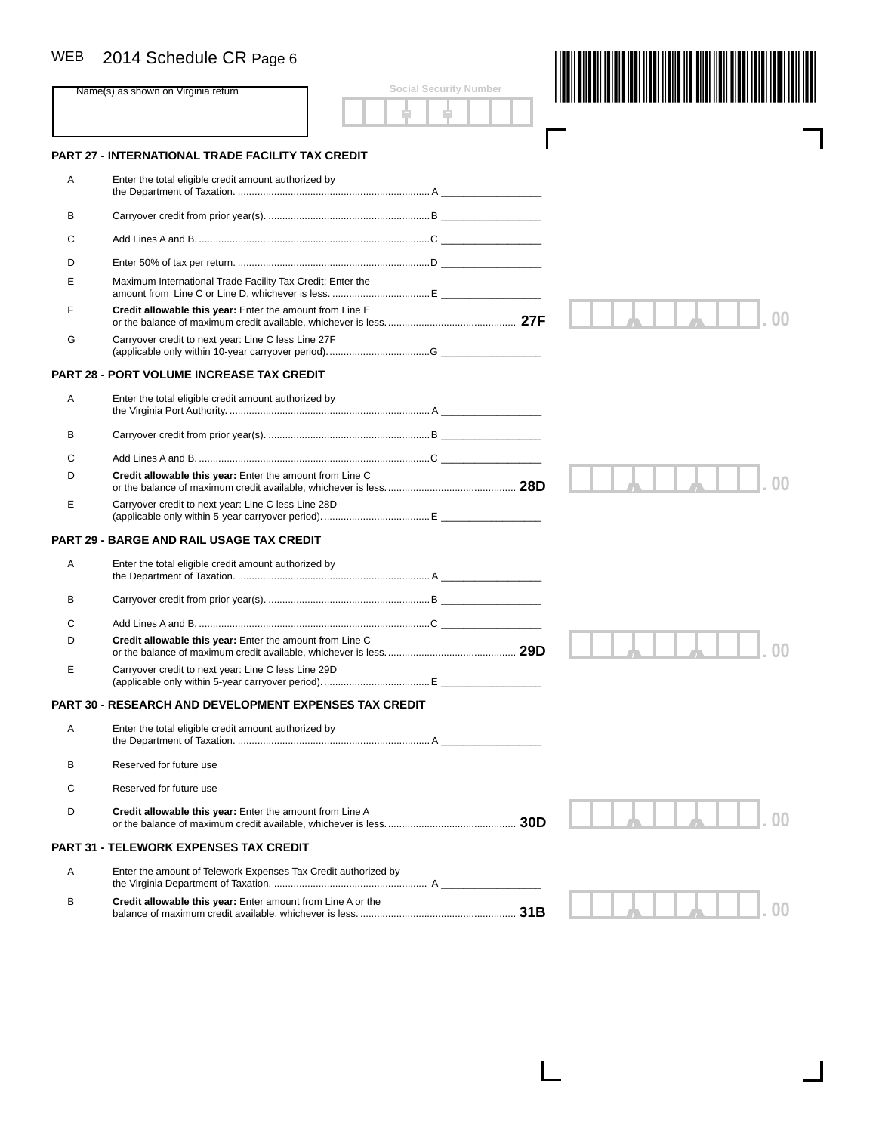| <b>WEB</b> | 2014 Schedule CR Page 6                                        |                               |    |
|------------|----------------------------------------------------------------|-------------------------------|----|
|            | Name(s) as shown on Virginia return                            | <b>Social Security Number</b> |    |
|            |                                                                |                               |    |
|            | <b>PART 27 - INTERNATIONAL TRADE FACILITY TAX CREDIT</b>       |                               |    |
| Α          | Enter the total eligible credit amount authorized by           |                               |    |
| В          |                                                                |                               |    |
| C          |                                                                |                               |    |
| D          |                                                                |                               |    |
| Е          | Maximum International Trade Facility Tax Credit: Enter the     |                               |    |
| F          | Credit allowable this year: Enter the amount from Line E       |                               |    |
| G          | Carryover credit to next year: Line C less Line 27F            |                               |    |
|            | <b>PART 28 - PORT VOLUME INCREASE TAX CREDIT</b>               |                               |    |
| Α          | Enter the total eligible credit amount authorized by           |                               |    |
| В          |                                                                |                               |    |
| C          |                                                                |                               |    |
| D          | Credit allowable this year: Enter the amount from Line C       |                               |    |
| Е          | Carryover credit to next year: Line C less Line 28D            |                               |    |
|            | <b>PART 29 - BARGE AND RAIL USAGE TAX CREDIT</b>               |                               |    |
| Α          | Enter the total eligible credit amount authorized by           |                               |    |
| В          |                                                                |                               |    |
| C          |                                                                |                               |    |
| D          | Credit allowable this year: Enter the amount from Line C       |                               |    |
| Е          | Carryover credit to next year: Line C less Line 29D            |                               |    |
|            | <b>PART 30 - RESEARCH AND DEVELOPMENT EXPENSES TAX CREDIT</b>  |                               |    |
| Α          | Enter the total eligible credit amount authorized by           |                               |    |
| В          | Reserved for future use                                        |                               |    |
| C          | Reserved for future use                                        |                               |    |
| D          | Credit allowable this year: Enter the amount from Line A       |                               |    |
|            | <b>PART 31 - TELEWORK EXPENSES TAX CREDIT</b>                  |                               |    |
| Α          | Enter the amount of Telework Expenses Tax Credit authorized by |                               |    |
| в          | Credit allowable this year: Enter amount from Line A or the    |                               | OC |

L

Ш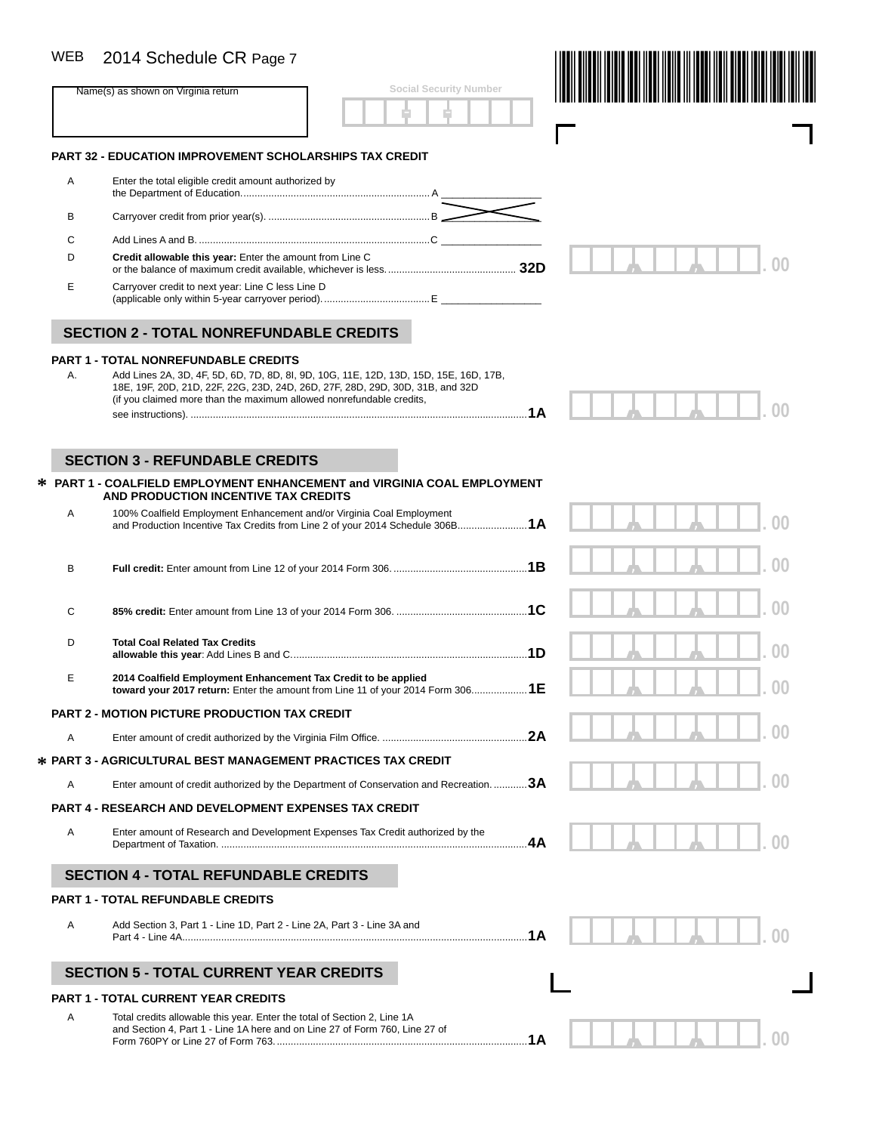| WEB | 2014 Schedule CR Page 7                                                                                                                                                |                               |          |
|-----|------------------------------------------------------------------------------------------------------------------------------------------------------------------------|-------------------------------|----------|
|     | Name(s) as shown on Virginia return                                                                                                                                    | <b>Social Security Number</b> |          |
|     | <b>PART 32 - EDUCATION IMPROVEMENT SCHOLARSHIPS TAX CREDIT</b>                                                                                                         |                               |          |
| Α   | Enter the total eligible credit amount authorized by                                                                                                                   |                               |          |
| в   |                                                                                                                                                                        |                               |          |
| С   |                                                                                                                                                                        |                               |          |
| D   | Credit allowable this year: Enter the amount from Line C                                                                                                               |                               |          |
| Е   | Carryover credit to next year: Line C less Line D                                                                                                                      |                               |          |
|     | <b>SECTION 2 - TOTAL NONREFUNDABLE CREDITS</b>                                                                                                                         |                               |          |
|     | <b>PART 1 - TOTAL NONREFUNDABLE CREDITS</b>                                                                                                                            |                               |          |
| А.  | Add Lines 2A, 3D, 4F, 5D, 6D, 7D, 8D, 8I, 9D, 10G, 11E, 12D, 13D, 15D, 15E, 16D, 17B,<br>18E, 19F, 20D, 21D, 22F, 22G, 23D, 24D, 26D, 27F, 28D, 29D, 30D, 31B, and 32D |                               |          |
|     | (if you claimed more than the maximum allowed nonrefundable credits,                                                                                                   |                               |          |
|     |                                                                                                                                                                        |                               |          |
|     | <b>SECTION 3 - REFUNDABLE CREDITS</b>                                                                                                                                  |                               |          |
|     | * PART 1 - COALFIELD EMPLOYMENT ENHANCEMENT and VIRGINIA COAL EMPLOYMENT<br>AND PRODUCTION INCENTIVE TAX CREDITS                                                       |                               |          |
| Α   | 100% Coalfield Employment Enhancement and/or Virginia Coal Employment                                                                                                  |                               |          |
|     | and Production Incentive Tax Credits from Line 2 of your 2014 Schedule 306B 1A                                                                                         |                               |          |
| в   |                                                                                                                                                                        |                               |          |
|     |                                                                                                                                                                        |                               |          |
| С   |                                                                                                                                                                        |                               |          |
| D   | <b>Total Coal Related Tax Credits</b>                                                                                                                                  |                               |          |
| E   | 2014 Coalfield Employment Enhancement Tax Credit to be applied<br>toward your 2017 return: Enter the amount from Line 11 of your 2014 Form 3061E                       |                               | $\Omega$ |
|     | <b>PART 2 - MOTION PICTURE PRODUCTION TAX CREDIT</b>                                                                                                                   |                               |          |
| A   |                                                                                                                                                                        |                               |          |
|     | * PART 3 - AGRICULTURAL BEST MANAGEMENT PRACTICES TAX CREDIT                                                                                                           |                               |          |
| Α   | Enter amount of credit authorized by the Department of Conservation and Recreation. 3A                                                                                 |                               |          |
|     | <b>PART 4 - RESEARCH AND DEVELOPMENT EXPENSES TAX CREDIT</b>                                                                                                           |                               |          |
| A   | Enter amount of Research and Development Expenses Tax Credit authorized by the                                                                                         | .4A                           |          |
|     | <b>SECTION 4 - TOTAL REFUNDABLE CREDITS</b>                                                                                                                            |                               |          |
|     | <b>PART 1 - TOTAL REFUNDABLE CREDITS</b>                                                                                                                               |                               |          |
| Α   | Add Section 3, Part 1 - Line 1D, Part 2 - Line 2A, Part 3 - Line 3A and                                                                                                |                               |          |
|     | <b>SECTION 5 - TOTAL CURRENT YEAR CREDITS</b>                                                                                                                          |                               |          |
|     | <b>PART 1 - TOTAL CURRENT YEAR CREDITS</b>                                                                                                                             |                               |          |
| Α   | Total credits allowable this year. Enter the total of Section 2, Line 1A<br>and Section 4, Part 1 - Line 1A here and on Line 27 of Form 760, Line 27 of                |                               |          |